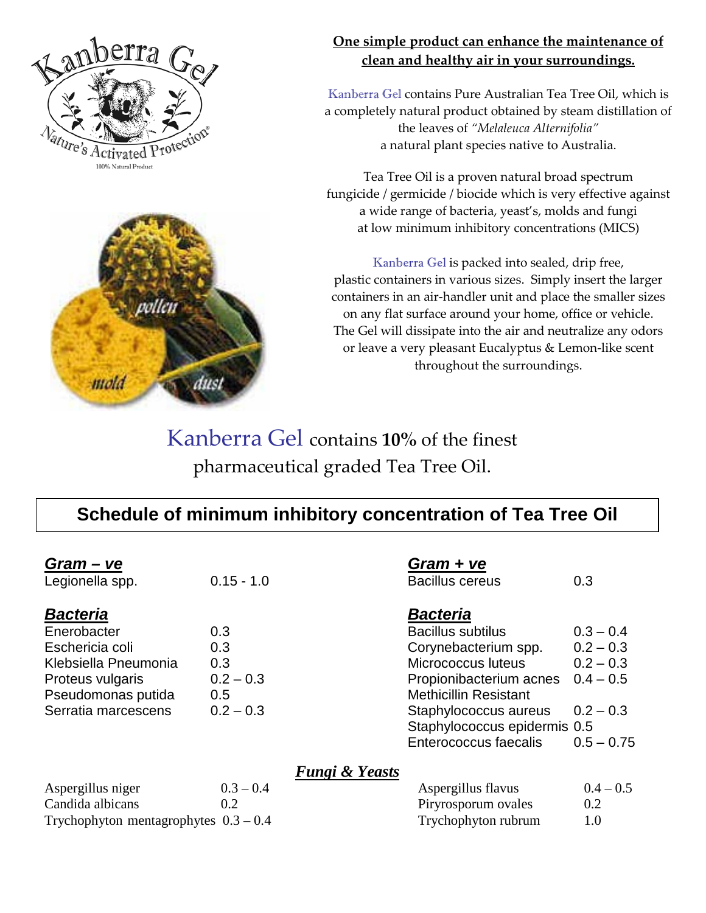



## **One simple product can enhance the maintenance of clean and healthy air in your surroundings.**

Kanberra Gel contains Pure Australian Tea Tree Oil, which is a completely natural product obtained by steam distillation of the leaves of *"Melaleuca Alternifolia"* a natural plant species native to Australia.

Tea Tree Oil is a proven natural broad spectrum fungicide / germicide / biocide which is very effective against a wide range of bacteria, yeast's, molds and fungi at low minimum inhibitory concentrations (MICS)

Kanberra Gel is packed into sealed, drip free, plastic containers in various sizes. Simply insert the larger containers in an air-handler unit and place the smaller sizes on any flat surface around your home, office or vehicle. The Gel will dissipate into the air and neutralize any odors or leave a very pleasant Eucalyptus & Lemon-like scent throughout the surroundings.

## Kanberra Gel contains **10%** of the finest pharmaceutical graded Tea Tree Oil.

## **Schedule of minimum inhibitory concentration of Tea Tree Oil**

| $Gram - ve$                             |              |                           | $Gram + ve$                  |              |
|-----------------------------------------|--------------|---------------------------|------------------------------|--------------|
| Legionella spp.                         | $0.15 - 1.0$ |                           | <b>Bacillus cereus</b>       | 0.3          |
| <b>Bacteria</b>                         |              |                           | <b>Bacteria</b>              |              |
| Enerobacter                             | 0.3          |                           | <b>Bacillus subtilus</b>     | $0.3 - 0.4$  |
| Eschericia coli                         | 0.3          |                           | Corynebacterium spp.         | $0.2 - 0.3$  |
| Klebsiella Pneumonia                    | 0.3          |                           | Micrococcus luteus           | $0.2 - 0.3$  |
| Proteus vulgaris                        | $0.2 - 0.3$  |                           | Propionibacterium acnes      | $0.4 - 0.5$  |
| Pseudomonas putida                      | 0.5          |                           | <b>Methicillin Resistant</b> |              |
| Serratia marcescens                     | $0.2 - 0.3$  |                           | Staphylococcus aureus        | $0.2 - 0.3$  |
|                                         |              |                           | Staphylococcus epidermis 0.5 |              |
|                                         |              |                           | Enterococcus faecalis        | $0.5 - 0.75$ |
|                                         |              | <b>Fungi &amp; Yeasts</b> |                              |              |
| Aspergillus niger                       | $0.3 - 0.4$  |                           | Aspergillus flavus           | $0.4 - 0.5$  |
| Candida albicans                        | 0.2          |                           | Piryrosporum ovales          | 0.2          |
| Trychophyton mentagrophytes $0.3 - 0.4$ |              |                           | Trychophyton rubrum          | 1.0          |